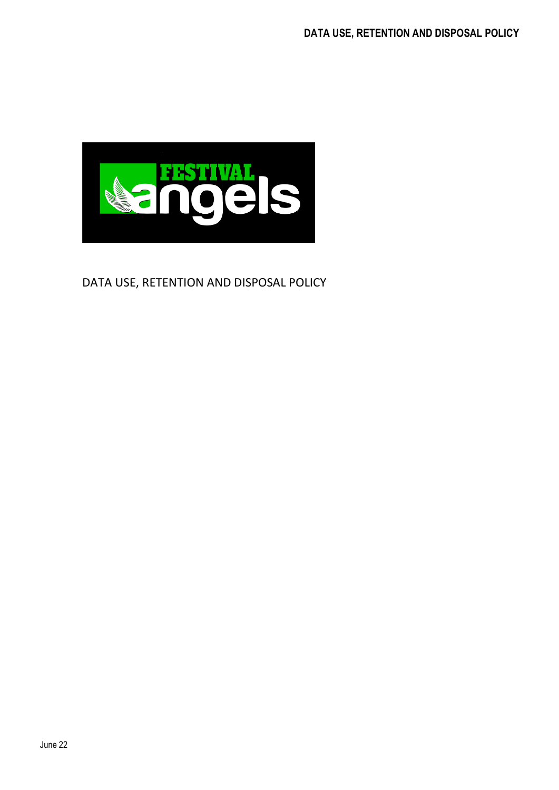

## DATA USE, RETENTION AND DISPOSAL POLICY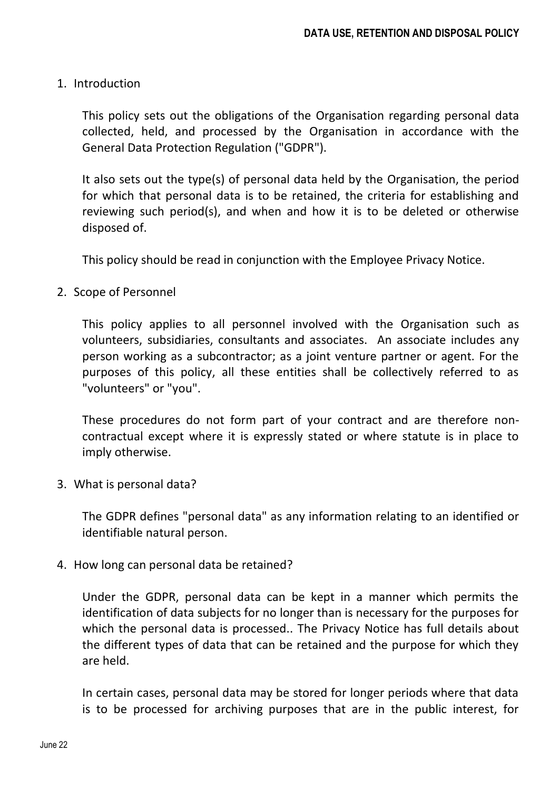## 1. Introduction

This policy sets out the obligations of the Organisation regarding personal data collected, held, and processed by the Organisation in accordance with the General Data Protection Regulation ("GDPR").

It also sets out the type(s) of personal data held by the Organisation, the period for which that personal data is to be retained, the criteria for establishing and reviewing such period(s), and when and how it is to be deleted or otherwise disposed of.

This policy should be read in conjunction with the Employee Privacy Notice.

2. Scope of Personnel

This policy applies to all personnel involved with the Organisation such as volunteers, subsidiaries, consultants and associates. An associate includes any person working as a subcontractor; as a joint venture partner or agent. For the purposes of this policy, all these entities shall be collectively referred to as "volunteers" or "you".

These procedures do not form part of your contract and are therefore noncontractual except where it is expressly stated or where statute is in place to imply otherwise.

3. What is personal data?

The GDPR defines "personal data" as any information relating to an identified or identifiable natural person.

4. How long can personal data be retained?

Under the GDPR, personal data can be kept in a manner which permits the identification of data subjects for no longer than is necessary for the purposes for which the personal data is processed.. The Privacy Notice has full details about the different types of data that can be retained and the purpose for which they are held.

In certain cases, personal data may be stored for longer periods where that data is to be processed for archiving purposes that are in the public interest, for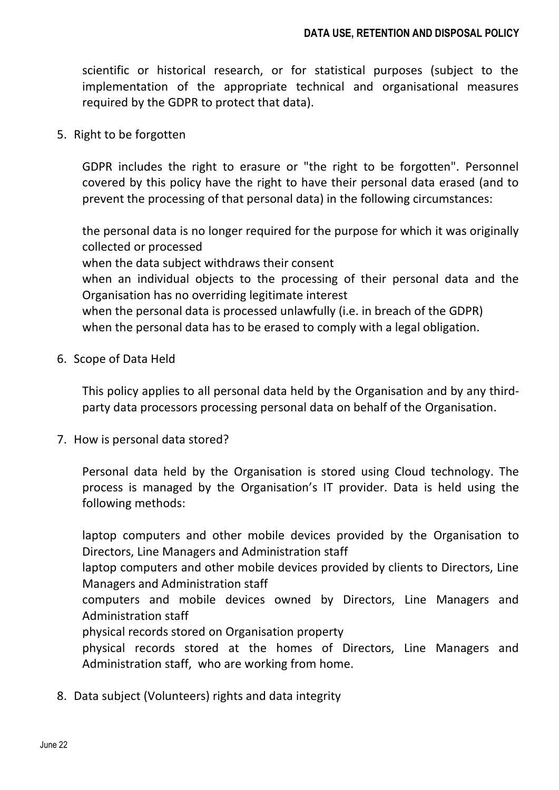scientific or historical research, or for statistical purposes (subject to the implementation of the appropriate technical and organisational measures required by the GDPR to protect that data).

5. Right to be forgotten

GDPR includes the right to erasure or "the right to be forgotten". Personnel covered by this policy have the right to have their personal data erased (and to prevent the processing of that personal data) in the following circumstances:

the personal data is no longer required for the purpose for which it was originally collected or processed

when the data subject withdraws their consent

when an individual objects to the processing of their personal data and the Organisation has no overriding legitimate interest

when the personal data is processed unlawfully (i.e. in breach of the GDPR) when the personal data has to be erased to comply with a legal obligation.

6. Scope of Data Held

This policy applies to all personal data held by the Organisation and by any thirdparty data processors processing personal data on behalf of the Organisation.

7. How is personal data stored?

Personal data held by the Organisation is stored using Cloud technology. The process is managed by the Organisation's IT provider. Data is held using the following methods:

laptop computers and other mobile devices provided by the Organisation to Directors, Line Managers and Administration staff

laptop computers and other mobile devices provided by clients to Directors, Line Managers and Administration staff

computers and mobile devices owned by Directors, Line Managers and Administration staff

physical records stored on Organisation property

physical records stored at the homes of Directors, Line Managers and Administration staff, who are working from home.

8. Data subject (Volunteers) rights and data integrity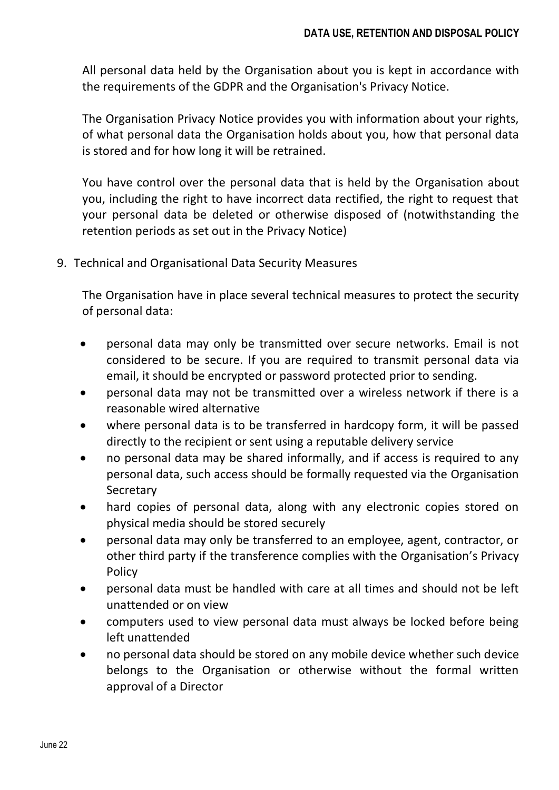All personal data held by the Organisation about you is kept in accordance with the requirements of the GDPR and the Organisation's Privacy Notice.

The Organisation Privacy Notice provides you with information about your rights, of what personal data the Organisation holds about you, how that personal data is stored and for how long it will be retrained.

You have control over the personal data that is held by the Organisation about you, including the right to have incorrect data rectified, the right to request that your personal data be deleted or otherwise disposed of (notwithstanding the retention periods as set out in the Privacy Notice)

9. Technical and Organisational Data Security Measures

The Organisation have in place several technical measures to protect the security of personal data:

- personal data may only be transmitted over secure networks. Email is not considered to be secure. If you are required to transmit personal data via email, it should be encrypted or password protected prior to sending.
- personal data may not be transmitted over a wireless network if there is a reasonable wired alternative
- where personal data is to be transferred in hardcopy form, it will be passed directly to the recipient or sent using a reputable delivery service
- no personal data may be shared informally, and if access is required to any personal data, such access should be formally requested via the Organisation **Secretary**
- hard copies of personal data, along with any electronic copies stored on physical media should be stored securely
- personal data may only be transferred to an employee, agent, contractor, or other third party if the transference complies with the Organisation's Privacy Policy
- personal data must be handled with care at all times and should not be left unattended or on view
- computers used to view personal data must always be locked before being left unattended
- no personal data should be stored on any mobile device whether such device belongs to the Organisation or otherwise without the formal written approval of a Director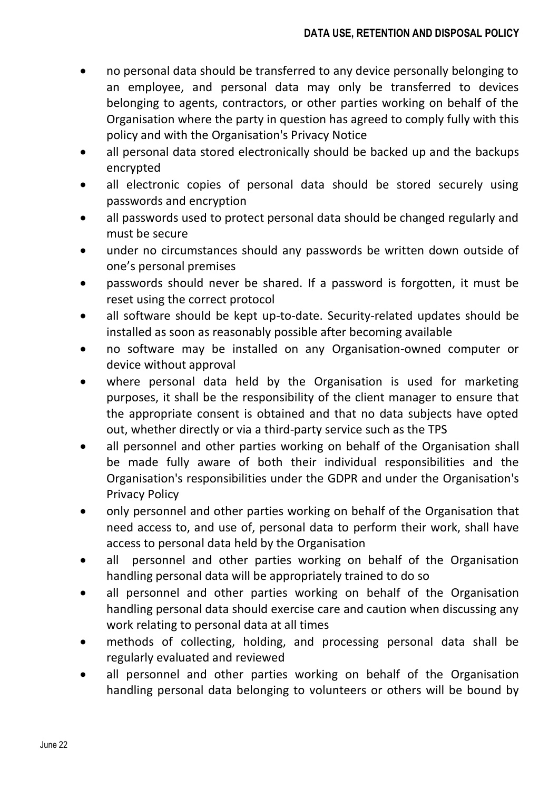- no personal data should be transferred to any device personally belonging to an employee, and personal data may only be transferred to devices belonging to agents, contractors, or other parties working on behalf of the Organisation where the party in question has agreed to comply fully with this policy and with the Organisation's Privacy Notice
- all personal data stored electronically should be backed up and the backups encrypted
- all electronic copies of personal data should be stored securely using passwords and encryption
- all passwords used to protect personal data should be changed regularly and must be secure
- under no circumstances should any passwords be written down outside of one's personal premises
- passwords should never be shared. If a password is forgotten, it must be reset using the correct protocol
- all software should be kept up-to-date. Security-related updates should be installed as soon as reasonably possible after becoming available
- no software may be installed on any Organisation-owned computer or device without approval
- where personal data held by the Organisation is used for marketing purposes, it shall be the responsibility of the client manager to ensure that the appropriate consent is obtained and that no data subjects have opted out, whether directly or via a third-party service such as the TPS
- all personnel and other parties working on behalf of the Organisation shall be made fully aware of both their individual responsibilities and the Organisation's responsibilities under the GDPR and under the Organisation's Privacy Policy
- only personnel and other parties working on behalf of the Organisation that need access to, and use of, personal data to perform their work, shall have access to personal data held by the Organisation
- all personnel and other parties working on behalf of the Organisation handling personal data will be appropriately trained to do so
- all personnel and other parties working on behalf of the Organisation handling personal data should exercise care and caution when discussing any work relating to personal data at all times
- methods of collecting, holding, and processing personal data shall be regularly evaluated and reviewed
- all personnel and other parties working on behalf of the Organisation handling personal data belonging to volunteers or others will be bound by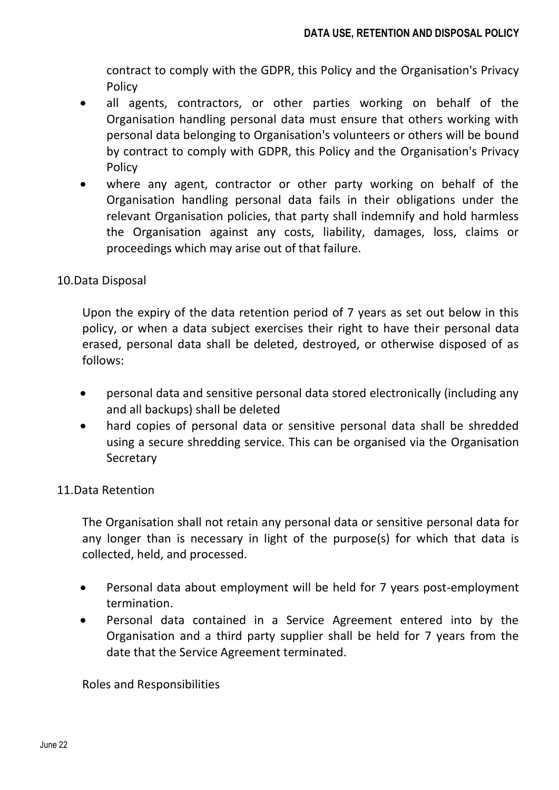contract to comply with the GDPR, this Policy and the Organisation's Privacy Policy

- all agents, contractors, or other parties working on behalf of the Organisation handling personal data must ensure that others working with personal data belonging to Organisation's volunteers or others will be bound by contract to comply with GDPR, this Policy and the Organisation's Privacy Policy
- where any agent, contractor or other party working on behalf of the Organisation handling personal data fails in their obligations under the relevant Organisation policies, that party shall indemnify and hold harmless the Organisation against any costs, liability, damages, loss, claims or proceedings which may arise out of that failure.

## 10.Data Disposal

Upon the expiry of the data retention period of 7 years as set out below in this policy, or when a data subject exercises their right to have their personal data erased, personal data shall be deleted, destroyed, or otherwise disposed of as follows:

- personal data and sensitive personal data stored electronically (including any and all backups) shall be deleted
- hard copies of personal data or sensitive personal data shall be shredded using a secure shredding service. This can be organised via the Organisation **Secretary**

## 11.Data Retention

The Organisation shall not retain any personal data or sensitive personal data for any longer than is necessary in light of the purpose(s) for which that data is collected, held, and processed.

- Personal data about employment will be held for 7 years post-employment termination.
- Personal data contained in a Service Agreement entered into by the Organisation and a third party supplier shall be held for 7 years from the date that the Service Agreement terminated.

Roles and Responsibilities